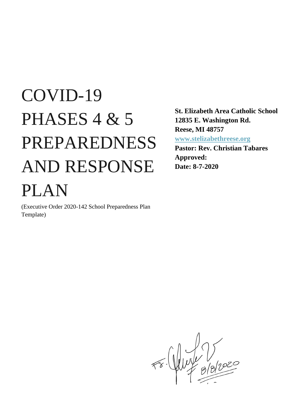# COVID-19 PHASES 4 & 5 PREPAREDNESS AND RESPONSE PLAN

(Executive Order 2020-142 School Preparedness Plan Template)

**St. Elizabeth Area Catholic School 12835 E. Washington Rd. Reese, MI 48757 [www.stelizabethreese.org](http://www.stelizabethreese.org/)**

**Pastor: Rev. Christian Tabares Approved: Date: 8-7-2020**

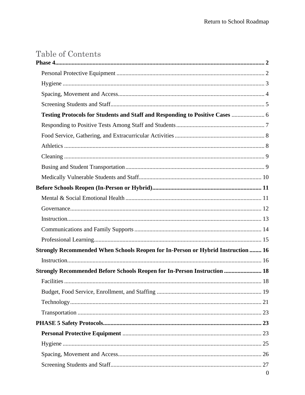# Table of Contents

| Testing Protocols for Students and Staff and Responding to Positive Cases  6     |              |
|----------------------------------------------------------------------------------|--------------|
|                                                                                  |              |
|                                                                                  |              |
|                                                                                  |              |
|                                                                                  |              |
|                                                                                  |              |
|                                                                                  |              |
|                                                                                  |              |
|                                                                                  |              |
|                                                                                  |              |
|                                                                                  |              |
|                                                                                  |              |
|                                                                                  |              |
| Strongly Recommended When Schools Reopen for In-Person or Hybrid Instruction  16 |              |
|                                                                                  |              |
| <b>Strongly Recommended Before Schools Reopen for In-Person Instruction  18</b>  |              |
| <b>Facilities</b>                                                                | 18           |
|                                                                                  |              |
|                                                                                  |              |
|                                                                                  |              |
|                                                                                  |              |
|                                                                                  |              |
|                                                                                  |              |
|                                                                                  |              |
|                                                                                  |              |
|                                                                                  | $\mathbf{0}$ |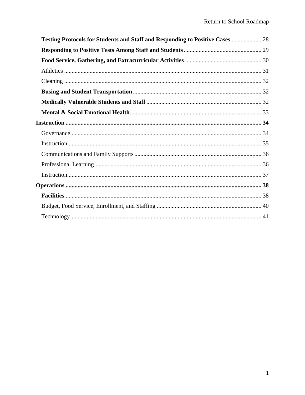| <b>Testing Protocols for Students and Staff and Responding to Positive Cases  28</b> |  |
|--------------------------------------------------------------------------------------|--|
|                                                                                      |  |
|                                                                                      |  |
|                                                                                      |  |
|                                                                                      |  |
|                                                                                      |  |
|                                                                                      |  |
|                                                                                      |  |
|                                                                                      |  |
|                                                                                      |  |
|                                                                                      |  |
|                                                                                      |  |
|                                                                                      |  |
|                                                                                      |  |
|                                                                                      |  |
|                                                                                      |  |
|                                                                                      |  |
|                                                                                      |  |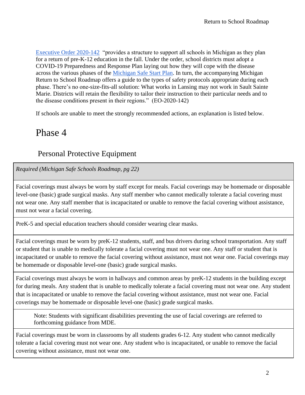[Executive Order 2020-142](https://content.govdelivery.com/attachments/MIEOG/2020/06/30/file_attachments/1485859/EO%202020-142.pdf) "provides a structure to support all schools in Michigan as they plan for a return of pre-K-12 education in the fall. Under the order, school districts must adopt a COVID-19 Preparedness and Response Plan laying out how they will cope with the disease across the various phases of the [Michigan Safe Start Plan.](https://www.michigan.gov/documents/whitmer/MI_SAFE_START_PLAN_689875_7.pdf) In turn, the accompanying Michigan Return to School Roadmap offers a guide to the types of safety protocols appropriate during each phase. There's no one-size-fits-all solution: What works in Lansing may not work in Sault Sainte Marie. Districts will retain the flexibility to tailor their instruction to their particular needs and to the disease conditions present in their regions." (EO-2020-142)

If schools are unable to meet the strongly recommended actions, an explanation is listed below.

## <span id="page-3-0"></span>Phase 4

#### <span id="page-3-1"></span>Personal Protective Equipment

*Required (Michigan Safe Schools Roadmap, pg 22)*

Facial coverings must always be worn by staff except for meals. Facial coverings may be homemade or disposable level-one (basic) grade surgical masks. Any staff member who cannot medically tolerate a facial covering must not wear one. Any staff member that is incapacitated or unable to remove the facial covering without assistance, must not wear a facial covering.

PreK-5 and special education teachers should consider wearing clear masks.

Facial coverings must be worn by preK-12 students, staff, and bus drivers during school transportation. Any staff or student that is unable to medically tolerate a facial covering must not wear one. Any staff or student that is incapacitated or unable to remove the facial covering without assistance, must not wear one. Facial coverings may be homemade or disposable level-one (basic) grade surgical masks.

Facial coverings must always be worn in hallways and common areas by preK-12 students in the building except for during meals. Any student that is unable to medically tolerate a facial covering must not wear one. Any student that is incapacitated or unable to remove the facial covering without assistance, must not wear one. Facial coverings may be homemade or disposable level-one (basic) grade surgical masks.

Note: Students with significant disabilities preventing the use of facial coverings are referred to forthcoming guidance from MDE.

Facial coverings must be worn in classrooms by all students grades 6-12. Any student who cannot medically tolerate a facial covering must not wear one. Any student who is incapacitated, or unable to remove the facial covering without assistance, must not wear one.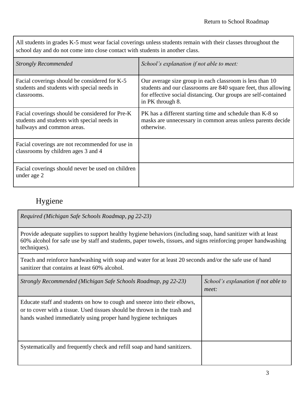All students in grades K-5 must wear facial coverings unless students remain with their classes throughout the school day and do not come into close contact with students in another class.

| <b>Strongly Recommended</b>                                                                                                  | School's explanation if not able to meet:                                                                                                                                                                        |
|------------------------------------------------------------------------------------------------------------------------------|------------------------------------------------------------------------------------------------------------------------------------------------------------------------------------------------------------------|
| Facial coverings should be considered for K-5<br>students and students with special needs in<br>classrooms.                  | Our average size group in each classroom is less than 10<br>students and our classrooms are 840 square feet, thus allowing<br>for effective social distancing. Our groups are self-contained<br>in PK through 8. |
| Facial coverings should be considered for Pre-K<br>students and students with special needs in<br>hallways and common areas. | PK has a different starting time and schedule than K-8 so<br>masks are unnecessary in common areas unless parents decide<br>otherwise.                                                                           |
| Facial coverings are not recommended for use in<br>classrooms by children ages 3 and 4                                       |                                                                                                                                                                                                                  |
| Facial coverings should never be used on children<br>under age 2                                                             |                                                                                                                                                                                                                  |

#### <span id="page-4-0"></span>Hygiene

*Required (Michigan Safe Schools Roadmap, pg 22-23)*

Provide adequate supplies to support healthy hygiene behaviors (including soap, hand sanitizer with at least 60% alcohol for safe use by staff and students, paper towels, tissues, and signs reinforcing proper handwashing techniques).

Teach and reinforce handwashing with soap and water for at least 20 seconds and/or the safe use of hand sanitizer that contains at least 60% alcohol.

| Strongly Recommended (Michigan Safe Schools Roadmap, pg 22-23)                                                                                                                                                         | School's explanation if not able to<br>meet: |
|------------------------------------------------------------------------------------------------------------------------------------------------------------------------------------------------------------------------|----------------------------------------------|
| Educate staff and students on how to cough and sneeze into their elbows,<br>or to cover with a tissue. Used tissues should be thrown in the trash and<br>hands washed immediately using proper hand hygiene techniques |                                              |
| Systematically and frequently check and refill soap and hand sanitizers.                                                                                                                                               |                                              |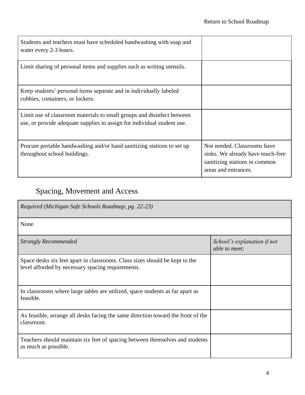| Students and teachers must have scheduled handwashing with soap and<br>water every 2-3 hours.                                                     |                                                                                                                           |
|---------------------------------------------------------------------------------------------------------------------------------------------------|---------------------------------------------------------------------------------------------------------------------------|
| Limit sharing of personal items and supplies such as writing utensils.                                                                            |                                                                                                                           |
| Keep students' personal items separate and in individually labeled<br>cubbies, containers, or lockers.                                            |                                                                                                                           |
| Limit use of classroom materials to small groups and disinfect between<br>use, or provide adequate supplies to assign for individual student use. |                                                                                                                           |
| Procure portable handwashing and/or hand sanitizing stations to set up<br>throughout school buildings.                                            | Not needed. Classrooms have<br>sinks. We already have touch-free<br>sanitizing stations in common<br>areas and entrances. |

# <span id="page-5-0"></span>Spacing, Movement and Access

| Required (Michigan Safe Schools Roadmap, pg. 22-23)                                                                              |                                              |
|----------------------------------------------------------------------------------------------------------------------------------|----------------------------------------------|
| None                                                                                                                             |                                              |
| <b>Strongly Recommended</b>                                                                                                      | School's explanation if not<br>able to meet: |
| Space desks six feet apart in classrooms. Class sizes should be kept to the<br>level afforded by necessary spacing requirements. |                                              |
| In classrooms where large tables are utilized, space students as far apart as<br>feasible.                                       |                                              |
| As feasible, arrange all desks facing the same direction toward the front of the<br>classroom.                                   |                                              |
| Teachers should maintain six feet of spacing between themselves and students<br>as much as possible.                             |                                              |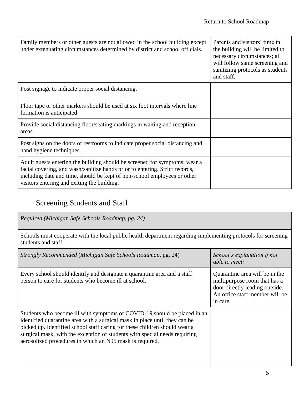| Family members or other guests are not allowed in the school building except<br>under extenuating circumstances determined by district and school officials.                                                                                                                         | Parents and visitors' time in<br>the building will be limited to<br>necessary circumstances; all<br>will follow same screening and<br>sanitizing protocols as students<br>and staff. |
|--------------------------------------------------------------------------------------------------------------------------------------------------------------------------------------------------------------------------------------------------------------------------------------|--------------------------------------------------------------------------------------------------------------------------------------------------------------------------------------|
| Post signage to indicate proper social distancing.                                                                                                                                                                                                                                   |                                                                                                                                                                                      |
| Floor tape or other markers should be used at six foot intervals where line<br>formation is anticipated                                                                                                                                                                              |                                                                                                                                                                                      |
| Provide social distancing floor/seating markings in waiting and reception<br>areas.                                                                                                                                                                                                  |                                                                                                                                                                                      |
| Post signs on the doors of restrooms to indicate proper social distancing and<br>hand hygiene techniques.                                                                                                                                                                            |                                                                                                                                                                                      |
| Adult guests entering the building should be screened for symptoms, wear a<br>facial covering, and wash/sanitize hands prior to entering. Strict records,<br>including date and time, should be kept of non-school employees or other<br>visitors entering and exiting the building. |                                                                                                                                                                                      |

## <span id="page-6-0"></span>Screening Students and Staff

| Required (Michigan Safe Schools Roadmap, pg. 24)                                                                                                                                                                                                                                                                                                                               |                                                                                                                                                |
|--------------------------------------------------------------------------------------------------------------------------------------------------------------------------------------------------------------------------------------------------------------------------------------------------------------------------------------------------------------------------------|------------------------------------------------------------------------------------------------------------------------------------------------|
| Schools must cooperate with the local public health department regarding implementing protocols for screening<br>students and staff.                                                                                                                                                                                                                                           |                                                                                                                                                |
| Strongly Recommended (Michigan Safe Schools Roadmap, pg. 24)                                                                                                                                                                                                                                                                                                                   | School's explanation if not<br>able to meet:                                                                                                   |
| Every school should identify and designate a quarantine area and a staff<br>person to care for students who become ill at school.                                                                                                                                                                                                                                              | Quarantine area will be in the<br>multipurpose room that has a<br>door directly leading outside.<br>An office staff member will be<br>in care. |
| Students who become ill with symptoms of COVID-19 should be placed in an<br>identified quarantine area with a surgical mask in place until they can be<br>picked up. Identified school staff caring for these children should wear a<br>surgical mask, with the exception of students with special needs requiring<br>aerosolized procedures in which an N95 mask is required. |                                                                                                                                                |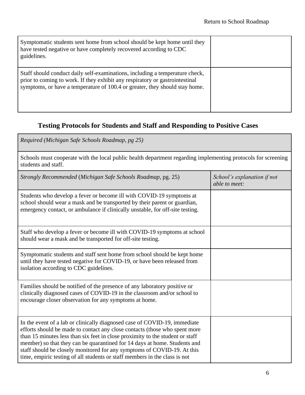| Symptomatic students sent home from school should be kept home until they<br>have tested negative or have completely recovered according to CDC<br>guidelines.                                                                              |  |
|---------------------------------------------------------------------------------------------------------------------------------------------------------------------------------------------------------------------------------------------|--|
| Staff should conduct daily self-examinations, including a temperature check,<br>prior to coming to work. If they exhibit any respiratory or gastrointestinal<br>symptoms, or have a temperature of 100.4 or greater, they should stay home. |  |

## <span id="page-7-0"></span>**Testing Protocols for Students and Staff and Responding to Positive Cases**

| Required (Michigan Safe Schools Roadmap, pg 25)                                                                                                                                                                                                                                                                                                                                                                                                                                |                                              |
|--------------------------------------------------------------------------------------------------------------------------------------------------------------------------------------------------------------------------------------------------------------------------------------------------------------------------------------------------------------------------------------------------------------------------------------------------------------------------------|----------------------------------------------|
| Schools must cooperate with the local public health department regarding implementing protocols for screening<br>students and staff.                                                                                                                                                                                                                                                                                                                                           |                                              |
| Strongly Recommended (Michigan Safe Schools Roadmap, pg. 25)                                                                                                                                                                                                                                                                                                                                                                                                                   | School's explanation if not<br>able to meet: |
| Students who develop a fever or become ill with COVID-19 symptoms at<br>school should wear a mask and be transported by their parent or guardian,<br>emergency contact, or ambulance if clinically unstable, for off-site testing.                                                                                                                                                                                                                                             |                                              |
| Staff who develop a fever or become ill with COVID-19 symptoms at school<br>should wear a mask and be transported for off-site testing.                                                                                                                                                                                                                                                                                                                                        |                                              |
| Symptomatic students and staff sent home from school should be kept home<br>until they have tested negative for COVID-19, or have been released from<br>isolation according to CDC guidelines.                                                                                                                                                                                                                                                                                 |                                              |
| Families should be notified of the presence of any laboratory positive or<br>clinically diagnosed cases of COVID-19 in the classroom and/or school to<br>encourage closer observation for any symptoms at home.                                                                                                                                                                                                                                                                |                                              |
| In the event of a lab or clinically diagnosed case of COVID-19, immediate<br>efforts should be made to contact any close contacts (those who spent more<br>than 15 minutes less than six feet in close proximity to the student or staff<br>member) so that they can be quarantined for 14 days at home. Students and<br>staff should be closely monitored for any symptoms of COVID-19. At this<br>time, empiric testing of all students or staff members in the class is not |                                              |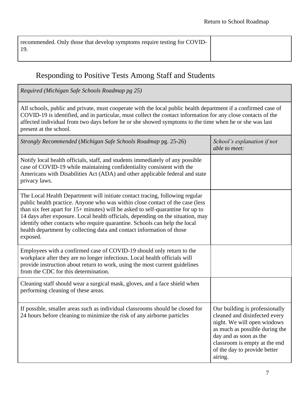#### <span id="page-8-0"></span>Responding to Positive Tests Among Staff and Students

*Required (Michigan Safe Schools Roadmap pg 25)* All schools, public and private, must cooperate with the local public health department if a confirmed case of COVID-19 is identified, and in particular, must collect the contact information for any close contacts of the affected individual from two days before he or she showed symptoms to the time when he or she was last present at the school. *Strongly Recommended* (*Michigan Safe Schools Roadmap* pg. 25-26) *School's explanation if not able to meet:* Notify local health officials, staff, and students immediately of any possible case of COVID-19 while maintaining confidentiality consistent with the Americans with Disabilities Act (ADA) and other applicable federal and state privacy laws. The Local Health Department will initiate contact tracing, following regular public health practice. Anyone who was within close contact of the case (less than six feet apart for 15+ minutes) will be asked to self-quarantine for up to 14 days after exposure. Local health officials, depending on the situation, may identify other contacts who require quarantine. Schools can help the local health department by collecting data and contact information of those exposed. Employees with a confirmed case of COVID-19 should only return to the workplace after they are no longer infectious. Local health officials will provide instruction about return to work, using the most current guidelines from the CDC for this determination. Cleaning staff should wear a surgical mask, gloves, and a face shield when performing cleaning of these areas. If possible, smaller areas such as individual classrooms should be closed for 24 hours before cleaning to minimize the risk of any airborne particles Our building is professionally cleaned and disinfected every night. We will open windows as much as possible during the day and as soon as the classroom is empty at the end of the day to provide better airing.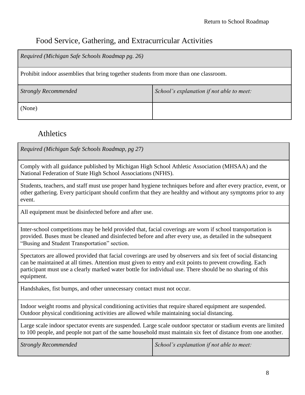#### <span id="page-9-0"></span>Food Service, Gathering, and Extracurricular Activities

*Required (Michigan Safe Schools Roadmap pg. 26)*

Prohibit indoor assemblies that bring together students from more than one classroom.

| <b>Strongly Recommended</b> | School's explanation if not able to meet: |
|-----------------------------|-------------------------------------------|
| (None)                      |                                           |

## <span id="page-9-1"></span>Athletics

*Required (Michigan Safe Schools Roadmap, pg 27)*

Comply with all guidance published by Michigan High School Athletic Association (MHSAA) and the National Federation of State High School Associations (NFHS).

Students, teachers, and staff must use proper hand hygiene techniques before and after every practice, event, or other gathering. Every participant should confirm that they are healthy and without any symptoms prior to any event.

All equipment must be disinfected before and after use.

Inter-school competitions may be held provided that, facial coverings are worn if school transportation is provided. Buses must be cleaned and disinfected before and after every use, as detailed in the subsequent "Busing and Student Transportation" section.

Spectators are allowed provided that facial coverings are used by observers and six feet of social distancing can be maintained at all times. Attention must given to entry and exit points to prevent crowding. Each participant must use a clearly marked water bottle for individual use. There should be no sharing of this equipment.

Handshakes, fist bumps, and other unnecessary contact must not occur.

Indoor weight rooms and physical conditioning activities that require shared equipment are suspended. Outdoor physical conditioning activities are allowed while maintaining social distancing.

Large scale indoor spectator events are suspended. Large scale outdoor spectator or stadium events are limited to 100 people, and people not part of the same household must maintain six feet of distance from one another.

| <b>Strongly Recommended</b> | School's explanation if not able to meet: |
|-----------------------------|-------------------------------------------|
|-----------------------------|-------------------------------------------|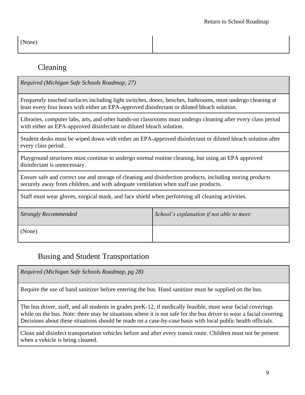(None)

#### <span id="page-10-0"></span>Cleaning

*Required (Michigan Safe Schools Roadmap, 27)*

Frequently touched surfaces including light switches, doors, benches, bathrooms, must undergo cleaning at least every four hours with either an EPA-approved disinfectant or diluted bleach solution.

Libraries, computer labs, arts, and other hands-on classrooms must undergo cleaning after every class period with either an EPA-approved disinfectant or diluted bleach solution.

Student desks must be wiped down with either an EPA-approved disinfectant or diluted bleach solution after every class period.

Playground structures must continue to undergo normal routine cleaning, but using an EPA approved disinfectant is unnecessary.

Ensure safe and correct use and storage of cleaning and disinfection products, including storing products securely away from children, and with adequate ventilation when staff use products.

Staff must wear gloves, surgical mask, and face shield when performing all cleaning activities.

| <b>Strongly Recommended</b> | School's explanation if not able to meet: |
|-----------------------------|-------------------------------------------|
| (None)                      |                                           |

#### <span id="page-10-1"></span>Busing and Student Transportation

*Required (Michigan Safe Schools Roadmap, pg 28)*

Require the use of hand sanitizer before entering the bus. Hand sanitizer must be supplied on the bus.

The bus driver, staff, and all students in grades preK-12, if medically feasible, must wear facial coverings while on the bus. Note: there may be situations where it is not safe for the bus driver to wear a facial covering. Decisions about these situations should be made on a case-by-case basis with local public health officials.

Clean and disinfect transportation vehicles before and after every transit route. Children must not be present when a vehicle is being cleaned.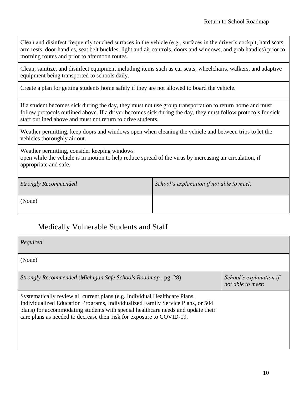Clean and disinfect frequently touched surfaces in the vehicle (e.g., surfaces in the driver's cockpit, hard seats, arm rests, door handles, seat belt buckles, light and air controls, doors and windows, and grab handles) prior to morning routes and prior to afternoon routes.

Clean, sanitize, and disinfect equipment including items such as car seats, wheelchairs, walkers, and adaptive equipment being transported to schools daily.

Create a plan for getting students home safely if they are not allowed to board the vehicle.

If a student becomes sick during the day, they must not use group transportation to return home and must follow protocols outlined above. If a driver becomes sick during the day, they must follow protocols for sick staff outlined above and must not return to drive students.

Weather permitting, keep doors and windows open when cleaning the vehicle and between trips to let the vehicles thoroughly air out.

Weather permitting, consider keeping windows

open while the vehicle is in motion to help reduce spread of the virus by increasing air circulation, if appropriate and safe.

| <b>Strongly Recommended</b> | School's explanation if not able to meet: |
|-----------------------------|-------------------------------------------|
| (None)                      |                                           |

#### <span id="page-11-0"></span>Medically Vulnerable Students and Staff

| Required                                                                                                                                                                                                                                                                                                                  |                                              |
|---------------------------------------------------------------------------------------------------------------------------------------------------------------------------------------------------------------------------------------------------------------------------------------------------------------------------|----------------------------------------------|
| (None)                                                                                                                                                                                                                                                                                                                    |                                              |
| Strongly Recommended (Michigan Safe Schools Roadmap, pg. 28)                                                                                                                                                                                                                                                              | School's explanation if<br>not able to meet: |
| Systematically review all current plans (e.g. Individual Healthcare Plans,<br>Individualized Education Programs, Individualized Family Service Plans, or 504<br>plans) for accommodating students with special healthcare needs and update their<br>care plans as needed to decrease their risk for exposure to COVID-19. |                                              |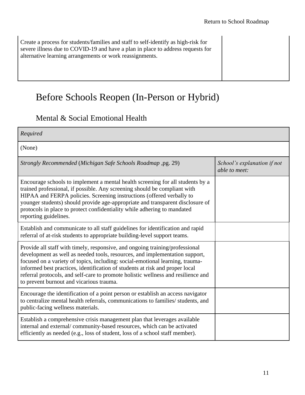| Create a process for students/families and staff to self-identify as high-risk for<br>severe illness due to COVID-19 and have a plan in place to address requests for<br>alternative learning arrangements or work reassignments. |  |
|-----------------------------------------------------------------------------------------------------------------------------------------------------------------------------------------------------------------------------------|--|
|                                                                                                                                                                                                                                   |  |

# <span id="page-12-0"></span>Before Schools Reopen (In-Person or Hybrid)

### <span id="page-12-1"></span>Mental & Social Emotional Health

| Required                                                                                                                                                                                                                                                                                                                                                                                                                                                      |                                              |
|---------------------------------------------------------------------------------------------------------------------------------------------------------------------------------------------------------------------------------------------------------------------------------------------------------------------------------------------------------------------------------------------------------------------------------------------------------------|----------------------------------------------|
| (None)                                                                                                                                                                                                                                                                                                                                                                                                                                                        |                                              |
| Strongly Recommended (Michigan Safe Schools Roadmap ,pg. 29)                                                                                                                                                                                                                                                                                                                                                                                                  | School's explanation if not<br>able to meet: |
| Encourage schools to implement a mental health screening for all students by a<br>trained professional, if possible. Any screening should be compliant with<br>HIPAA and FERPA policies. Screening instructions (offered verbally to<br>younger students) should provide age-appropriate and transparent disclosure of<br>protocols in place to protect confidentiality while adhering to mandated<br>reporting guidelines.                                   |                                              |
| Establish and communicate to all staff guidelines for identification and rapid<br>referral of at-risk students to appropriate building-level support teams.                                                                                                                                                                                                                                                                                                   |                                              |
| Provide all staff with timely, responsive, and ongoing training/professional<br>development as well as needed tools, resources, and implementation support,<br>focused on a variety of topics, including: social-emotional learning, trauma-<br>informed best practices, identification of students at risk and proper local<br>referral protocols, and self-care to promote holistic wellness and resilience and<br>to prevent burnout and vicarious trauma. |                                              |
| Encourage the identification of a point person or establish an access navigator<br>to centralize mental health referrals, communications to families/ students, and<br>public-facing wellness materials.                                                                                                                                                                                                                                                      |                                              |
| Establish a comprehensive crisis management plan that leverages available<br>internal and external/community-based resources, which can be activated<br>efficiently as needed (e.g., loss of student, loss of a school staff member).                                                                                                                                                                                                                         |                                              |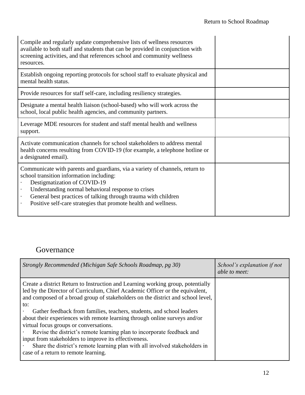| Compile and regularly update comprehensive lists of wellness resources<br>available to both staff and students that can be provided in conjunction with<br>screening activities, and that references school and community wellness<br>resources.                                                                                                                                                      |
|-------------------------------------------------------------------------------------------------------------------------------------------------------------------------------------------------------------------------------------------------------------------------------------------------------------------------------------------------------------------------------------------------------|
| Establish ongoing reporting protocols for school staff to evaluate physical and<br>mental health status.                                                                                                                                                                                                                                                                                              |
| Provide resources for staff self-care, including resiliency strategies.                                                                                                                                                                                                                                                                                                                               |
| Designate a mental health liaison (school-based) who will work across the<br>school, local public health agencies, and community partners.                                                                                                                                                                                                                                                            |
| Leverage MDE resources for student and staff mental health and wellness<br>support.                                                                                                                                                                                                                                                                                                                   |
| Activate communication channels for school stakeholders to address mental<br>health concerns resulting from COVID-19 (for example, a telephone hotline or<br>a designated email).                                                                                                                                                                                                                     |
| Communicate with parents and guardians, via a variety of channels, return to<br>school transition information including:<br>Destigmatization of COVID-19<br>Understanding normal behavioral response to crises<br>$\ddot{\phantom{0}}$<br>General best practices of talking through trauma with children<br>$\bullet$<br>Positive self-care strategies that promote health and wellness.<br>$\bullet$ |

### <span id="page-13-0"></span>Governance

| Strongly Recommended (Michigan Safe Schools Roadmap, pg 30)                                                                                                                                                                                                                                                                                                                                                                                                                                                                                                                                                                                                                                                          | School's explanation if not<br>able to meet: |
|----------------------------------------------------------------------------------------------------------------------------------------------------------------------------------------------------------------------------------------------------------------------------------------------------------------------------------------------------------------------------------------------------------------------------------------------------------------------------------------------------------------------------------------------------------------------------------------------------------------------------------------------------------------------------------------------------------------------|----------------------------------------------|
| Create a district Return to Instruction and Learning working group, potentially<br>led by the Director of Curriculum, Chief Academic Officer or the equivalent,<br>and composed of a broad group of stakeholders on the district and school level,<br>to:<br>Gather feedback from families, teachers, students, and school leaders<br>about their experiences with remote learning through online surveys and/or<br>virtual focus groups or conversations.<br>Revise the district's remote learning plan to incorporate feedback and<br>input from stakeholders to improve its effectiveness.<br>Share the district's remote learning plan with all involved stakeholders in<br>case of a return to remote learning. |                                              |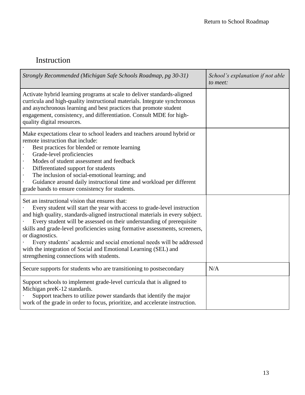## <span id="page-14-0"></span>Instruction

| Strongly Recommended (Michigan Safe Schools Roadmap, pg 30-31)                                                                                                                                                                                                                                                                                                                                                                                                                                                                                                                  | School's explanation if not able<br>to meet: |
|---------------------------------------------------------------------------------------------------------------------------------------------------------------------------------------------------------------------------------------------------------------------------------------------------------------------------------------------------------------------------------------------------------------------------------------------------------------------------------------------------------------------------------------------------------------------------------|----------------------------------------------|
| Activate hybrid learning programs at scale to deliver standards-aligned<br>curricula and high-quality instructional materials. Integrate synchronous<br>and asynchronous learning and best practices that promote student<br>engagement, consistency, and differentiation. Consult MDE for high-<br>quality digital resources.                                                                                                                                                                                                                                                  |                                              |
| Make expectations clear to school leaders and teachers around hybrid or<br>remote instruction that include:<br>Best practices for blended or remote learning<br>Grade-level proficiencies<br>$\ddot{\phantom{a}}$<br>Modes of student assessment and feedback<br>$\bullet$<br>Differentiated support for students<br>$\bullet$<br>The inclusion of social-emotional learning; and<br>$\bullet$<br>Guidance around daily instructional time and workload per different<br>grade bands to ensure consistency for students.                                                        |                                              |
| Set an instructional vision that ensures that:<br>Every student will start the year with access to grade-level instruction<br>and high quality, standards-aligned instructional materials in every subject.<br>Every student will be assessed on their understanding of prerequisite<br>skills and grade-level proficiencies using formative assessments, screeners,<br>or diagnostics.<br>Every students' academic and social emotional needs will be addressed<br>with the integration of Social and Emotional Learning (SEL) and<br>strengthening connections with students. |                                              |
| Secure supports for students who are transitioning to postsecondary                                                                                                                                                                                                                                                                                                                                                                                                                                                                                                             | N/A                                          |
| Support schools to implement grade-level curricula that is aligned to<br>Michigan preK-12 standards.<br>Support teachers to utilize power standards that identify the major<br>work of the grade in order to focus, prioritize, and accelerate instruction.                                                                                                                                                                                                                                                                                                                     |                                              |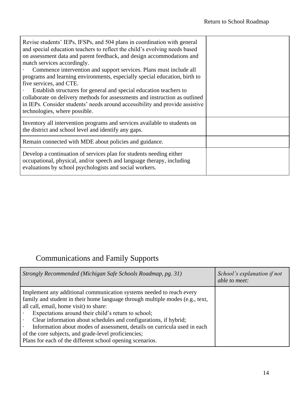| Revise students' IEPs, IFSPs, and 504 plans in coordination with general<br>and special education teachers to reflect the child's evolving needs based<br>on assessment data and parent feedback, and design accommodations and<br>match services accordingly.<br>Commence intervention and support services. Plans must include all<br>programs and learning environments, especially special education, birth to<br>five services, and CTE.<br>Establish structures for general and special education teachers to<br>collaborate on delivery methods for assessments and instruction as outlined<br>in IEPs. Consider students' needs around accessibility and provide assistive<br>technologies, where possible. |  |
|---------------------------------------------------------------------------------------------------------------------------------------------------------------------------------------------------------------------------------------------------------------------------------------------------------------------------------------------------------------------------------------------------------------------------------------------------------------------------------------------------------------------------------------------------------------------------------------------------------------------------------------------------------------------------------------------------------------------|--|
| Inventory all intervention programs and services available to students on<br>the district and school level and identify any gaps.                                                                                                                                                                                                                                                                                                                                                                                                                                                                                                                                                                                   |  |
| Remain connected with MDE about policies and guidance.                                                                                                                                                                                                                                                                                                                                                                                                                                                                                                                                                                                                                                                              |  |
| Develop a continuation of services plan for students needing either<br>occupational, physical, and/or speech and language therapy, including<br>evaluations by school psychologists and social workers.                                                                                                                                                                                                                                                                                                                                                                                                                                                                                                             |  |

## <span id="page-15-0"></span>Communications and Family Supports

| Strongly Recommended (Michigan Safe Schools Roadmap, pg. 31)                                                                                                                                                                                                                                                                                                                                                                                                                                                                | School's explanation if not<br>able to meet: |
|-----------------------------------------------------------------------------------------------------------------------------------------------------------------------------------------------------------------------------------------------------------------------------------------------------------------------------------------------------------------------------------------------------------------------------------------------------------------------------------------------------------------------------|----------------------------------------------|
| Implement any additional communication systems needed to reach every<br>family and student in their home language through multiple modes (e.g., text,<br>all call, email, home visit) to share:<br>Expectations around their child's return to school;<br>Clear information about schedules and configurations, if hybrid;<br>Information about modes of assessment, details on curricula used in each<br>of the core subjects, and grade-level proficiencies;<br>Plans for each of the different school opening scenarios. |                                              |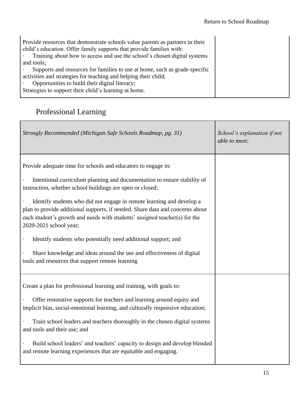| Provide resources that demonstrate schools value parents as partners in their<br>child's education. Offer family supports that provide families with:<br>Training about how to access and use the school's chosen digital systems<br>and tools;<br>Supports and resources for families to use at home, such as grade-specific<br>activities and strategies for teaching and helping their child; |
|--------------------------------------------------------------------------------------------------------------------------------------------------------------------------------------------------------------------------------------------------------------------------------------------------------------------------------------------------------------------------------------------------|
| Opportunities to build their digital literacy;                                                                                                                                                                                                                                                                                                                                                   |
| Strategies to support their child's learning at home.                                                                                                                                                                                                                                                                                                                                            |
|                                                                                                                                                                                                                                                                                                                                                                                                  |

## <span id="page-16-0"></span>Professional Learning

| Strongly Recommended (Michigan Safe Schools Roadmap, pg. 31)                                                                                                                                                                                                                                                                                                                                                                                                                                                                                                                                                                                                            | School's explanation if not<br>able to meet: |
|-------------------------------------------------------------------------------------------------------------------------------------------------------------------------------------------------------------------------------------------------------------------------------------------------------------------------------------------------------------------------------------------------------------------------------------------------------------------------------------------------------------------------------------------------------------------------------------------------------------------------------------------------------------------------|----------------------------------------------|
| Provide adequate time for schools and educators to engage in:<br>Intentional curriculum planning and documentation to ensure stability of<br>instruction, whether school buildings are open or closed;<br>Identify students who did not engage in remote learning and develop a<br>plan to provide additional supports, if needed. Share data and concerns about<br>each student's growth and needs with students' assigned teacher(s) for the<br>2020-2021 school year;<br>Identify students who potentially need additional support; and<br>Share knowledge and ideas around the use and effectiveness of digital<br>tools and resources that support remote learning |                                              |
| Create a plan for professional learning and training, with goals to:<br>Offer restorative supports for teachers and learning around equity and<br>implicit bias, social-emotional learning, and culturally responsive education;<br>Train school leaders and teachers thoroughly in the chosen digital systems<br>and tools and their use; and<br>Build school leaders' and teachers' capacity to design and develop blended<br>and remote learning experiences that are equitable and engaging.                                                                                                                                                                        |                                              |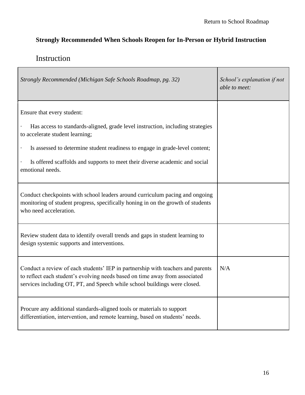à,

#### <span id="page-17-0"></span>**Strongly Recommended When Schools Reopen for In-Person or Hybrid Instruction**

### <span id="page-17-1"></span>Instruction

F

| Strongly Recommended (Michigan Safe Schools Roadmap, pg. 32)                                                                                                                                                                                | School's explanation if not<br>able to meet: |
|---------------------------------------------------------------------------------------------------------------------------------------------------------------------------------------------------------------------------------------------|----------------------------------------------|
| Ensure that every student:                                                                                                                                                                                                                  |                                              |
| Has access to standards-aligned, grade level instruction, including strategies<br>to accelerate student learning;                                                                                                                           |                                              |
| Is assessed to determine student readiness to engage in grade-level content;                                                                                                                                                                |                                              |
| Is offered scaffolds and supports to meet their diverse academic and social<br>emotional needs.                                                                                                                                             |                                              |
| Conduct checkpoints with school leaders around curriculum pacing and ongoing<br>monitoring of student progress, specifically honing in on the growth of students<br>who need acceleration.                                                  |                                              |
| Review student data to identify overall trends and gaps in student learning to<br>design systemic supports and interventions.                                                                                                               |                                              |
| Conduct a review of each students' IEP in partnership with teachers and parents<br>to reflect each student's evolving needs based on time away from associated<br>services including OT, PT, and Speech while school buildings were closed. | N/A                                          |
| Procure any additional standards-aligned tools or materials to support<br>differentiation, intervention, and remote learning, based on students' needs.                                                                                     |                                              |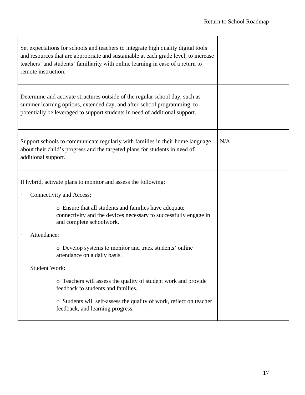| Set expectations for schools and teachers to integrate high quality digital tools<br>and resources that are appropriate and sustainable at each grade level, to increase<br>teachers' and students' familiarity with online learning in case of a return to<br>remote instruction. |     |
|------------------------------------------------------------------------------------------------------------------------------------------------------------------------------------------------------------------------------------------------------------------------------------|-----|
| Determine and activate structures outside of the regular school day, such as<br>summer learning options, extended day, and after-school programming, to<br>potentially be leveraged to support students in need of additional support.                                             |     |
| Support schools to communicate regularly with families in their home language<br>about their child's progress and the targeted plans for students in need of<br>additional support.                                                                                                | N/A |
| If hybrid, activate plans to monitor and assess the following:                                                                                                                                                                                                                     |     |
| Connectivity and Access:                                                                                                                                                                                                                                                           |     |
| o Ensure that all students and families have adequate<br>connectivity and the devices necessary to successfully engage in<br>and complete schoolwork.                                                                                                                              |     |
| Attendance:                                                                                                                                                                                                                                                                        |     |
| o Develop systems to monitor and track students' online<br>attendance on a daily basis.                                                                                                                                                                                            |     |
| <b>Student Work:</b>                                                                                                                                                                                                                                                               |     |
| o Teachers will assess the quality of student work and provide<br>feedback to students and families.                                                                                                                                                                               |     |
| o Students will self-assess the quality of work, reflect on teacher<br>feedback, and learning progress.                                                                                                                                                                            |     |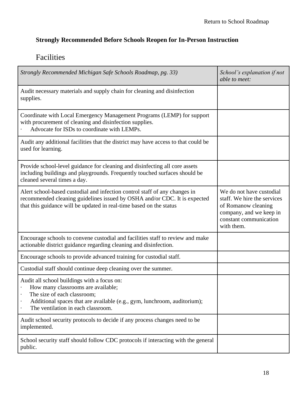#### <span id="page-19-0"></span>**Strongly Recommended Before Schools Reopen for In-Person Instruction**

## <span id="page-19-1"></span>Facilities

| Strongly Recommended Michigan Safe Schools Roadmap, pg. 33)                                                                                                                                                                        | School's explanation if not<br>able to meet:                                                                                                      |
|------------------------------------------------------------------------------------------------------------------------------------------------------------------------------------------------------------------------------------|---------------------------------------------------------------------------------------------------------------------------------------------------|
| Audit necessary materials and supply chain for cleaning and disinfection<br>supplies.                                                                                                                                              |                                                                                                                                                   |
| Coordinate with Local Emergency Management Programs (LEMP) for support<br>with procurement of cleaning and disinfection supplies.<br>Advocate for ISDs to coordinate with LEMPs.                                                   |                                                                                                                                                   |
| Audit any additional facilities that the district may have access to that could be<br>used for learning.                                                                                                                           |                                                                                                                                                   |
| Provide school-level guidance for cleaning and disinfecting all core assets<br>including buildings and playgrounds. Frequently touched surfaces should be<br>cleaned several times a day.                                          |                                                                                                                                                   |
| Alert school-based custodial and infection control staff of any changes in<br>recommended cleaning guidelines issued by OSHA and/or CDC. It is expected<br>that this guidance will be updated in real-time based on the status     | We do not have custodial<br>staff. We hire the services<br>of Romanow cleaning<br>company, and we keep in<br>constant communication<br>with them. |
| Encourage schools to convene custodial and facilities staff to review and make<br>actionable district guidance regarding cleaning and disinfection.                                                                                |                                                                                                                                                   |
| Encourage schools to provide advanced training for custodial staff.                                                                                                                                                                |                                                                                                                                                   |
| Custodial staff should continue deep cleaning over the summer.                                                                                                                                                                     |                                                                                                                                                   |
| Audit all school buildings with a focus on:<br>How many classrooms are available;<br>The size of each classroom;<br>Additional spaces that are available (e.g., gym, lunchroom, auditorium);<br>The ventilation in each classroom. |                                                                                                                                                   |
| Audit school security protocols to decide if any process changes need to be<br>implemented.                                                                                                                                        |                                                                                                                                                   |
| School security staff should follow CDC protocols if interacting with the general<br>public.                                                                                                                                       |                                                                                                                                                   |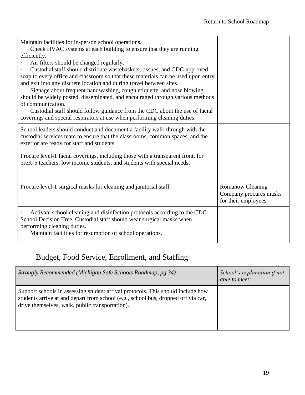| Maintain facilities for in-person school operations.<br>Check HVAC systems at each building to ensure that they are running<br>efficiently.<br>Air filters should be changed regularly.<br>Custodial staff should distribute wastebaskets, tissues, and CDC-approved<br>soap to every office and classroom so that these materials can be used upon entry<br>and exit into any discrete location and during travel between sites.<br>Signage about frequent handwashing, cough etiquette, and nose blowing<br>should be widely posted, disseminated, and encouraged through various methods<br>of communication.<br>Custodial staff should follow guidance from the CDC about the use of facial<br>coverings and special respirators at use when performing cleaning duties. |                                                                           |
|------------------------------------------------------------------------------------------------------------------------------------------------------------------------------------------------------------------------------------------------------------------------------------------------------------------------------------------------------------------------------------------------------------------------------------------------------------------------------------------------------------------------------------------------------------------------------------------------------------------------------------------------------------------------------------------------------------------------------------------------------------------------------|---------------------------------------------------------------------------|
| School leaders should conduct and document a facility walk-through with the<br>custodial services team to ensure that the classrooms, common spaces, and the<br>exterior are ready for staff and students                                                                                                                                                                                                                                                                                                                                                                                                                                                                                                                                                                    |                                                                           |
| Procure level-1 facial coverings, including those with a transparent front, for<br>preK-5 teachers, low income students, and students with special needs.                                                                                                                                                                                                                                                                                                                                                                                                                                                                                                                                                                                                                    |                                                                           |
| Procure level-1 surgical masks for cleaning and janitorial staff.                                                                                                                                                                                                                                                                                                                                                                                                                                                                                                                                                                                                                                                                                                            | <b>Romanow Cleaning</b><br>Company procures masks<br>for their employees. |
| Activate school cleaning and disinfection protocols according to the CDC<br>School Decision Tree. Custodial staff should wear surgical masks when<br>performing cleaning duties.<br>Maintain facilities for resumption of school operations.                                                                                                                                                                                                                                                                                                                                                                                                                                                                                                                                 |                                                                           |

# <span id="page-20-0"></span>Budget, Food Service, Enrollment, and Staffing

| Strongly Recommended (Michigan Safe Schools Roadmap, pg 34)                                                                                                                                                             | School's explanation if not<br>able to meet: |
|-------------------------------------------------------------------------------------------------------------------------------------------------------------------------------------------------------------------------|----------------------------------------------|
| Support schools in assessing student arrival protocols. This should include how<br>students arrive at and depart from school (e.g., school bus, dropped off via car,<br>drive themselves, walk, public transportation). |                                              |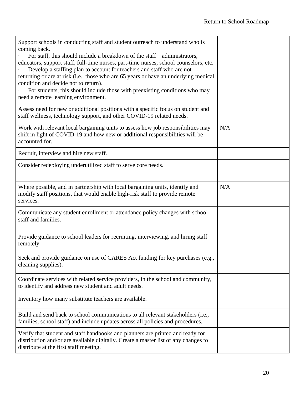| Support schools in conducting staff and student outreach to understand who is<br>coming back.<br>For staff, this should include a breakdown of the staff – administrators,<br>educators, support staff, full-time nurses, part-time nurses, school counselors, etc.<br>Develop a staffing plan to account for teachers and staff who are not<br>returning or are at risk (i.e., those who are 65 years or have an underlying medical<br>condition and decide not to return).<br>For students, this should include those with preexisting conditions who may<br>need a remote learning environment. |     |
|----------------------------------------------------------------------------------------------------------------------------------------------------------------------------------------------------------------------------------------------------------------------------------------------------------------------------------------------------------------------------------------------------------------------------------------------------------------------------------------------------------------------------------------------------------------------------------------------------|-----|
| Assess need for new or additional positions with a specific focus on student and<br>staff wellness, technology support, and other COVID-19 related needs.                                                                                                                                                                                                                                                                                                                                                                                                                                          |     |
| Work with relevant local bargaining units to assess how job responsibilities may<br>shift in light of COVID-19 and how new or additional responsibilities will be<br>accounted for.                                                                                                                                                                                                                                                                                                                                                                                                                | N/A |
| Recruit, interview and hire new staff.                                                                                                                                                                                                                                                                                                                                                                                                                                                                                                                                                             |     |
| Consider redeploying underutilized staff to serve core needs.                                                                                                                                                                                                                                                                                                                                                                                                                                                                                                                                      |     |
| Where possible, and in partnership with local bargaining units, identify and<br>modify staff positions, that would enable high-risk staff to provide remote<br>services.                                                                                                                                                                                                                                                                                                                                                                                                                           | N/A |
| Communicate any student enrollment or attendance policy changes with school<br>staff and families.                                                                                                                                                                                                                                                                                                                                                                                                                                                                                                 |     |
| Provide guidance to school leaders for recruiting, interviewing, and hiring staff<br>remotely                                                                                                                                                                                                                                                                                                                                                                                                                                                                                                      |     |
| Seek and provide guidance on use of CARES Act funding for key purchases (e.g.,<br>cleaning supplies).                                                                                                                                                                                                                                                                                                                                                                                                                                                                                              |     |
| Coordinate services with related service providers, in the school and community,<br>to identify and address new student and adult needs.                                                                                                                                                                                                                                                                                                                                                                                                                                                           |     |
| Inventory how many substitute teachers are available.                                                                                                                                                                                                                                                                                                                                                                                                                                                                                                                                              |     |
| Build and send back to school communications to all relevant stakeholders (i.e.,<br>families, school staff) and include updates across all policies and procedures.                                                                                                                                                                                                                                                                                                                                                                                                                                |     |
| Verify that student and staff handbooks and planners are printed and ready for<br>distribution and/or are available digitally. Create a master list of any changes to<br>distribute at the first staff meeting.                                                                                                                                                                                                                                                                                                                                                                                    |     |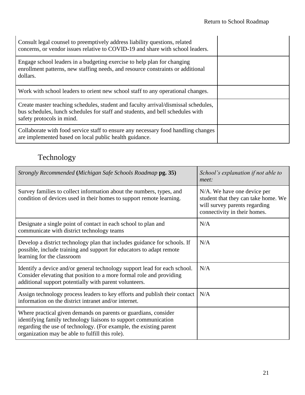| Consult legal counsel to preemptively address liability questions, related<br>concerns, or vendor issues relative to COVID-19 and share with school leaders.                                      |  |
|---------------------------------------------------------------------------------------------------------------------------------------------------------------------------------------------------|--|
| Engage school leaders in a budgeting exercise to help plan for changing<br>enrollment patterns, new staffing needs, and resource constraints or additional<br>dollars.                            |  |
| Work with school leaders to orient new school staff to any operational changes.                                                                                                                   |  |
| Create master teaching schedules, student and faculty arrival/dismissal schedules,<br>bus schedules, lunch schedules for staff and students, and bell schedules with<br>safety protocols in mind. |  |
| Collaborate with food service staff to ensure any necessary food handling changes<br>are implemented based on local public health guidance.                                                       |  |

## <span id="page-22-0"></span>Technology

| Strongly Recommended (Michigan Safe Schools Roadmap pg. 35)                                                                                                                                                                                                 | School's explanation if not able to<br>meet:                                                                                        |
|-------------------------------------------------------------------------------------------------------------------------------------------------------------------------------------------------------------------------------------------------------------|-------------------------------------------------------------------------------------------------------------------------------------|
| Survey families to collect information about the numbers, types, and<br>condition of devices used in their homes to support remote learning.                                                                                                                | N/A. We have one device per<br>student that they can take home. We<br>will survey parents regarding<br>connectivity in their homes. |
| Designate a single point of contact in each school to plan and<br>communicate with district technology teams                                                                                                                                                | N/A                                                                                                                                 |
| Develop a district technology plan that includes guidance for schools. If<br>possible, include training and support for educators to adapt remote<br>learning for the classroom                                                                             | N/A                                                                                                                                 |
| Identify a device and/or general technology support lead for each school.<br>Consider elevating that position to a more formal role and providing<br>additional support potentially with parent volunteers.                                                 | N/A                                                                                                                                 |
| Assign technology process leaders to key efforts and publish their contact<br>information on the district intranet and/or internet.                                                                                                                         | N/A                                                                                                                                 |
| Where practical given demands on parents or guardians, consider<br>identifying family technology liaisons to support communication<br>regarding the use of technology. (For example, the existing parent<br>organization may be able to fulfill this role). |                                                                                                                                     |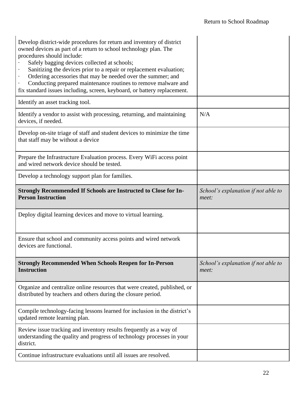| Develop district-wide procedures for return and inventory of district<br>owned devices as part of a return to school technology plan. The<br>procedures should include:<br>Safely bagging devices collected at schools;<br>Sanitizing the devices prior to a repair or replacement evaluation;<br>Ordering accessories that may be needed over the summer; and<br>Conducting prepared maintenance routines to remove malware and<br>fix standard issues including, screen, keyboard, or battery replacement. |                                              |
|--------------------------------------------------------------------------------------------------------------------------------------------------------------------------------------------------------------------------------------------------------------------------------------------------------------------------------------------------------------------------------------------------------------------------------------------------------------------------------------------------------------|----------------------------------------------|
| Identify an asset tracking tool.                                                                                                                                                                                                                                                                                                                                                                                                                                                                             |                                              |
| Identify a vendor to assist with processing, returning, and maintaining<br>devices, if needed.                                                                                                                                                                                                                                                                                                                                                                                                               | N/A                                          |
| Develop on-site triage of staff and student devices to minimize the time<br>that staff may be without a device                                                                                                                                                                                                                                                                                                                                                                                               |                                              |
| Prepare the Infrastructure Evaluation process. Every WiFi access point<br>and wired network device should be tested.                                                                                                                                                                                                                                                                                                                                                                                         |                                              |
| Develop a technology support plan for families.                                                                                                                                                                                                                                                                                                                                                                                                                                                              |                                              |
| <b>Strongly Recommended If Schools are Instructed to Close for In-</b><br><b>Person Instruction</b>                                                                                                                                                                                                                                                                                                                                                                                                          | School's explanation if not able to<br>meet: |
| Deploy digital learning devices and move to virtual learning.                                                                                                                                                                                                                                                                                                                                                                                                                                                |                                              |
|                                                                                                                                                                                                                                                                                                                                                                                                                                                                                                              |                                              |
| Ensure that school and community access points and wired network<br>devices are functional.                                                                                                                                                                                                                                                                                                                                                                                                                  |                                              |
| <b>Strongly Recommended When Schools Reopen for In-Person</b><br><b>Instruction</b>                                                                                                                                                                                                                                                                                                                                                                                                                          | School's explanation if not able to<br>meet: |
| Organize and centralize online resources that were created, published, or<br>distributed by teachers and others during the closure period.                                                                                                                                                                                                                                                                                                                                                                   |                                              |
| Compile technology-facing lessons learned for inclusion in the district's<br>updated remote learning plan.                                                                                                                                                                                                                                                                                                                                                                                                   |                                              |
| Review issue tracking and inventory results frequently as a way of<br>understanding the quality and progress of technology processes in your<br>district.                                                                                                                                                                                                                                                                                                                                                    |                                              |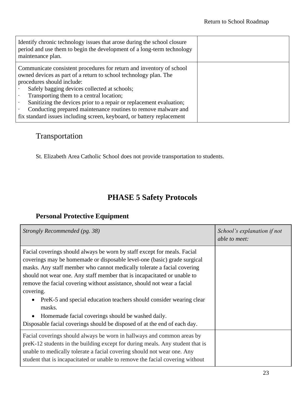| Identify chronic technology issues that arose during the school closure<br>period and use them to begin the development of a long-term technology<br>maintenance plan.                                                                                                                                                                                                                                                                                                                                                       |  |
|------------------------------------------------------------------------------------------------------------------------------------------------------------------------------------------------------------------------------------------------------------------------------------------------------------------------------------------------------------------------------------------------------------------------------------------------------------------------------------------------------------------------------|--|
| Communicate consistent procedures for return and inventory of school<br>owned devices as part of a return to school technology plan. The<br>procedures should include:<br>Safely bagging devices collected at schools;<br>Transporting them to a central location;<br>$\bullet$<br>Sanitizing the devices prior to a repair or replacement evaluation;<br>$\bullet$<br>Conducting prepared maintenance routines to remove malware and<br>$\bullet$<br>fix standard issues including screen, keyboard, or battery replacement |  |

## <span id="page-24-0"></span>Transportation

St. Elizabeth Area Catholic School does not provide transportation to students.

## **PHASE 5 Safety Protocols**

#### <span id="page-24-2"></span><span id="page-24-1"></span>**Personal Protective Equipment**

| Strongly Recommended (pg. 38)                                                                                                                                                                                                                                                                                                                                                                                                                                                                                                                                                                                          | School's explanation if not<br>able to meet: |
|------------------------------------------------------------------------------------------------------------------------------------------------------------------------------------------------------------------------------------------------------------------------------------------------------------------------------------------------------------------------------------------------------------------------------------------------------------------------------------------------------------------------------------------------------------------------------------------------------------------------|----------------------------------------------|
| Facial coverings should always be worn by staff except for meals. Facial<br>coverings may be homemade or disposable level-one (basic) grade surgical<br>masks. Any staff member who cannot medically tolerate a facial covering<br>should not wear one. Any staff member that is incapacitated or unable to<br>remove the facial covering without assistance, should not wear a facial<br>covering.<br>PreK-5 and special education teachers should consider wearing clear<br>masks.<br>Homemade facial coverings should be washed daily.<br>Disposable facial coverings should be disposed of at the end of each day. |                                              |
| Facial coverings should always be worn in hallways and common areas by<br>preK-12 students in the building except for during meals. Any student that is<br>unable to medically tolerate a facial covering should not wear one. Any<br>student that is incapacitated or unable to remove the facial covering without                                                                                                                                                                                                                                                                                                    |                                              |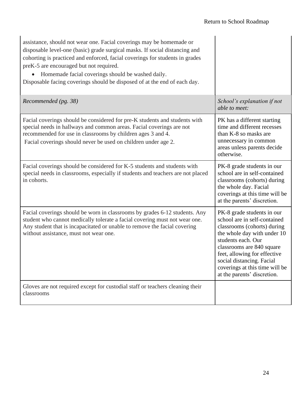| assistance, should not wear one. Facial coverings may be homemade or<br>disposable level-one (basic) grade surgical masks. If social distancing and<br>cohorting is practiced and enforced, facial coverings for students in grades<br>preK-5 are encouraged but not required.<br>Homemade facial coverings should be washed daily.<br>Disposable facing coverings should be disposed of at the end of each day. |                                                                                                                                                                                                                                                                                                           |
|------------------------------------------------------------------------------------------------------------------------------------------------------------------------------------------------------------------------------------------------------------------------------------------------------------------------------------------------------------------------------------------------------------------|-----------------------------------------------------------------------------------------------------------------------------------------------------------------------------------------------------------------------------------------------------------------------------------------------------------|
| Recommended (pg. 38)                                                                                                                                                                                                                                                                                                                                                                                             | School's explanation if not<br>able to meet:                                                                                                                                                                                                                                                              |
| Facial coverings should be considered for pre-K students and students with<br>special needs in hallways and common areas. Facial coverings are not<br>recommended for use in classrooms by children ages 3 and 4.<br>Facial coverings should never be used on children under age 2.                                                                                                                              | PK has a different starting<br>time and different recesses<br>than K-8 so masks are<br>unnecessary in common<br>areas unless parents decide<br>otherwise.                                                                                                                                                 |
| Facial coverings should be considered for K-5 students and students with<br>special needs in classrooms, especially if students and teachers are not placed<br>in cohorts.                                                                                                                                                                                                                                       | PK-8 grade students in our<br>school are in self-contained<br>classrooms (cohorts) during<br>the whole day. Facial<br>coverings at this time will be<br>at the parents' discretion.                                                                                                                       |
| Facial coverings should be worn in classrooms by grades 6-12 students. Any<br>student who cannot medically tolerate a facial covering must not wear one.<br>Any student that is incapacitated or unable to remove the facial covering<br>without assistance, must not wear one.                                                                                                                                  | PK-8 grade students in our<br>school are in self-contained<br>classrooms (cohorts) during<br>the whole day with under 10<br>students each. Our<br>classrooms are 840 square<br>feet, allowing for effective<br>social distancing. Facial<br>coverings at this time will be<br>at the parents' discretion. |
| Gloves are not required except for custodial staff or teachers cleaning their<br>classrooms                                                                                                                                                                                                                                                                                                                      |                                                                                                                                                                                                                                                                                                           |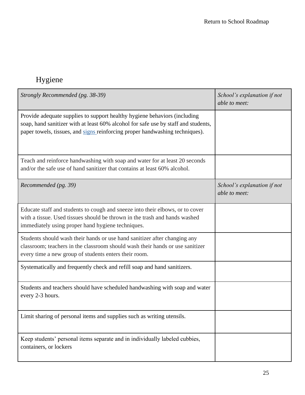# <span id="page-26-0"></span>Hygiene

| Strongly Recommended (pg. 38-39)                                                                                                                                                                                                                | School's explanation if not<br>able to meet: |
|-------------------------------------------------------------------------------------------------------------------------------------------------------------------------------------------------------------------------------------------------|----------------------------------------------|
| Provide adequate supplies to support healthy hygiene behaviors (including<br>soap, hand sanitizer with at least 60% alcohol for safe use by staff and students,<br>paper towels, tissues, and signs reinforcing proper handwashing techniques). |                                              |
| Teach and reinforce handwashing with soap and water for at least 20 seconds<br>and/or the safe use of hand sanitizer that contains at least 60% alcohol.                                                                                        |                                              |
| Recommended (pg. 39)                                                                                                                                                                                                                            | School's explanation if not<br>able to meet: |
| Educate staff and students to cough and sneeze into their elbows, or to cover<br>with a tissue. Used tissues should be thrown in the trash and hands washed<br>immediately using proper hand hygiene techniques.                                |                                              |
| Students should wash their hands or use hand sanitizer after changing any<br>classroom; teachers in the classroom should wash their hands or use sanitizer<br>every time a new group of students enters their room.                             |                                              |
| Systematically and frequently check and refill soap and hand sanitizers.                                                                                                                                                                        |                                              |
| Students and teachers should have scheduled handwashing with soap and water<br>every 2-3 hours.                                                                                                                                                 |                                              |
| Limit sharing of personal items and supplies such as writing utensils.                                                                                                                                                                          |                                              |
| Keep students' personal items separate and in individually labeled cubbies,<br>containers, or lockers                                                                                                                                           |                                              |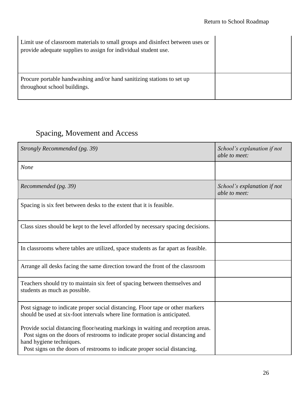| Limit use of classroom materials to small groups and disinfect between uses or<br>provide adequate supplies to assign for individual student use. |  |
|---------------------------------------------------------------------------------------------------------------------------------------------------|--|
| Procure portable handwashing and/or hand sanitizing stations to set up<br>throughout school buildings.                                            |  |

# <span id="page-27-0"></span>Spacing, Movement and Access

| Strongly Recommended (pg. 39)                                                                                                                                                                                                                                               | School's explanation if not<br>able to meet: |
|-----------------------------------------------------------------------------------------------------------------------------------------------------------------------------------------------------------------------------------------------------------------------------|----------------------------------------------|
| None                                                                                                                                                                                                                                                                        |                                              |
| Recommended (pg. 39)                                                                                                                                                                                                                                                        | School's explanation if not<br>able to meet: |
| Spacing is six feet between desks to the extent that it is feasible.                                                                                                                                                                                                        |                                              |
| Class sizes should be kept to the level afforded by necessary spacing decisions.                                                                                                                                                                                            |                                              |
| In classrooms where tables are utilized, space students as far apart as feasible.                                                                                                                                                                                           |                                              |
| Arrange all desks facing the same direction toward the front of the classroom                                                                                                                                                                                               |                                              |
| Teachers should try to maintain six feet of spacing between themselves and<br>students as much as possible.                                                                                                                                                                 |                                              |
| Post signage to indicate proper social distancing. Floor tape or other markers<br>should be used at six-foot intervals where line formation is anticipated.                                                                                                                 |                                              |
| Provide social distancing floor/seating markings in waiting and reception areas.<br>Post signs on the doors of restrooms to indicate proper social distancing and<br>hand hygiene techniques.<br>Post signs on the doors of restrooms to indicate proper social distancing. |                                              |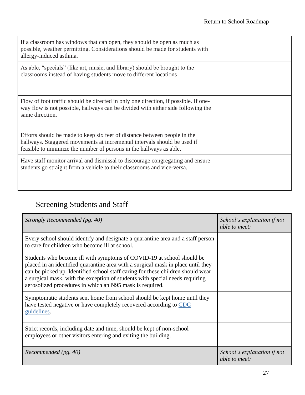| If a classroom has windows that can open, they should be open as much as<br>possible, weather permitting. Considerations should be made for students with<br>allergy-induced asthma.                                         |  |
|------------------------------------------------------------------------------------------------------------------------------------------------------------------------------------------------------------------------------|--|
| As able, "specials" (like art, music, and library) should be brought to the<br>classrooms instead of having students move to different locations                                                                             |  |
| Flow of foot traffic should be directed in only one direction, if possible. If one-<br>way flow is not possible, hallways can be divided with either side following the<br>same direction.                                   |  |
| Efforts should be made to keep six feet of distance between people in the<br>hallways. Staggered movements at incremental intervals should be used if<br>feasible to minimize the number of persons in the hallways as able. |  |
| Have staff monitor arrival and dismissal to discourage congregating and ensure<br>students go straight from a vehicle to their classrooms and vice-versa.                                                                    |  |

# <span id="page-28-0"></span>Screening Students and Staff

| Strongly Recommended (pg. 40)                                                                                                                                                                                                                                                                                                                                                            | School's explanation if not<br>able to meet: |
|------------------------------------------------------------------------------------------------------------------------------------------------------------------------------------------------------------------------------------------------------------------------------------------------------------------------------------------------------------------------------------------|----------------------------------------------|
| Every school should identify and designate a quarantine area and a staff person<br>to care for children who become ill at school.                                                                                                                                                                                                                                                        |                                              |
| Students who become ill with symptoms of COVID-19 at school should be<br>placed in an identified quarantine area with a surgical mask in place until they<br>can be picked up. Identified school staff caring for these children should wear<br>a surgical mask, with the exception of students with special needs requiring<br>aerosolized procedures in which an N95 mask is required. |                                              |
| Symptomatic students sent home from school should be kept home until they<br>have tested negative or have completely recovered according to CDC<br>guidelines.                                                                                                                                                                                                                           |                                              |
| Strict records, including date and time, should be kept of non-school<br>employees or other visitors entering and exiting the building.                                                                                                                                                                                                                                                  |                                              |
| Recommended (pg. 40)                                                                                                                                                                                                                                                                                                                                                                     | School's explanation if not<br>able to meet: |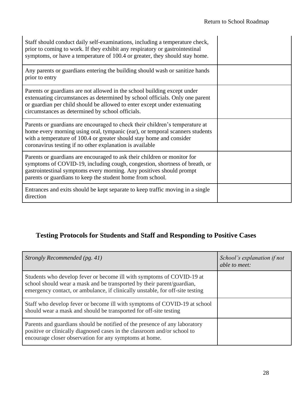| Staff should conduct daily self-examinations, including a temperature check,<br>prior to coming to work. If they exhibit any respiratory or gastrointestinal<br>symptoms, or have a temperature of 100.4 or greater, they should stay home.                                                      |  |
|--------------------------------------------------------------------------------------------------------------------------------------------------------------------------------------------------------------------------------------------------------------------------------------------------|--|
| Any parents or guardians entering the building should wash or sanitize hands<br>prior to entry                                                                                                                                                                                                   |  |
| Parents or guardians are not allowed in the school building except under<br>extenuating circumstances as determined by school officials. Only one parent<br>or guardian per child should be allowed to enter except under extenuating<br>circumstances as determined by school officials.        |  |
| Parents or guardians are encouraged to check their children's temperature at<br>home every morning using oral, tympanic (ear), or temporal scanners students<br>with a temperature of 100.4 or greater should stay home and consider<br>coronavirus testing if no other explanation is available |  |
| Parents or guardians are encouraged to ask their children or monitor for<br>symptoms of COVID-19, including cough, congestion, shortness of breath, or<br>gastrointestinal symptoms every morning. Any positives should prompt<br>parents or guardians to keep the student home from school.     |  |
| Entrances and exits should be kept separate to keep traffic moving in a single<br>direction                                                                                                                                                                                                      |  |

#### <span id="page-29-0"></span>**Testing Protocols for Students and Staff and Responding to Positive Cases**

| Strongly Recommended (pg. 41)                                                                                                                                                                                                    | School's explanation if not<br>able to meet: |
|----------------------------------------------------------------------------------------------------------------------------------------------------------------------------------------------------------------------------------|----------------------------------------------|
| Students who develop fever or become ill with symptoms of COVID-19 at<br>school should wear a mask and be transported by their parent/guardian,<br>emergency contact, or ambulance, if clinically unstable, for off-site testing |                                              |
| Staff who develop fever or become ill with symptoms of COVID-19 at school<br>should wear a mask and should be transported for off-site testing                                                                                   |                                              |
| Parents and guardians should be notified of the presence of any laboratory<br>positive or clinically diagnosed cases in the classroom and/or school to<br>encourage closer observation for any symptoms at home.                 |                                              |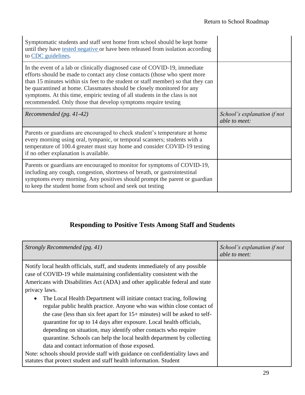| Symptomatic students and staff sent home from school should be kept home<br>until they have tested negative or have been released from isolation according<br>to CDC guidelines.                                                                                                                                                                                                                                                                                      |                             |
|-----------------------------------------------------------------------------------------------------------------------------------------------------------------------------------------------------------------------------------------------------------------------------------------------------------------------------------------------------------------------------------------------------------------------------------------------------------------------|-----------------------------|
| In the event of a lab or clinically diagnosed case of COVID-19, immediate<br>efforts should be made to contact any close contacts (those who spent more<br>than 15 minutes within six feet to the student or staff member) so that they can<br>be quarantined at home. Classmates should be closely monitored for any<br>symptoms. At this time, empiric testing of all students in the class is not<br>recommended. Only those that develop symptoms require testing |                             |
| Recommended (pg. 41-42)                                                                                                                                                                                                                                                                                                                                                                                                                                               | School's explanation if not |
|                                                                                                                                                                                                                                                                                                                                                                                                                                                                       | able to meet:               |
| Parents or guardians are encouraged to check student's temperature at home<br>every morning using oral, tympanic, or temporal scanners; students with a<br>temperature of 100.4 greater must stay home and consider COVID-19 testing<br>if no other explanation is available.                                                                                                                                                                                         |                             |

### **Responding to Positive Tests Among Staff and Students**

<span id="page-30-0"></span>

| Strongly Recommended (pg. 41)                                                                                                                                                                                                                                                                                                                                                                                                                                                                                                                                                                                                                                                                                                                                                                                                                                                                                                          | School's explanation if not<br>able to meet: |
|----------------------------------------------------------------------------------------------------------------------------------------------------------------------------------------------------------------------------------------------------------------------------------------------------------------------------------------------------------------------------------------------------------------------------------------------------------------------------------------------------------------------------------------------------------------------------------------------------------------------------------------------------------------------------------------------------------------------------------------------------------------------------------------------------------------------------------------------------------------------------------------------------------------------------------------|----------------------------------------------|
| Notify local health officials, staff, and students immediately of any possible<br>case of COVID-19 while maintaining confidentiality consistent with the<br>Americans with Disabilities Act (ADA) and other applicable federal and state<br>privacy laws.<br>The Local Health Department will initiate contact tracing, following<br>$\bullet$<br>regular public health practice. Anyone who was within close contact of<br>the case (less than six feet apart for $15+$ minutes) will be asked to self-<br>quarantine for up to 14 days after exposure. Local health officials,<br>depending on situation, may identify other contacts who require<br>quarantine. Schools can help the local health department by collecting<br>data and contact information of those exposed.<br>Note: schools should provide staff with guidance on confidentiality laws and<br>statutes that protect student and staff health information. Student |                                              |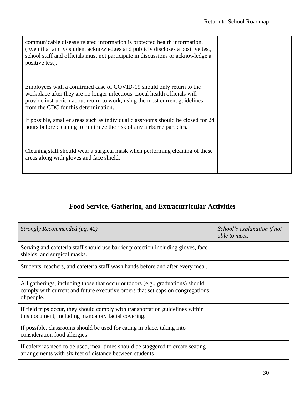| communicable disease related information is protected health information.<br>(Even if a family/student acknowledges and publicly discloses a positive test,<br>school staff and officials must not participate in discussions or acknowledge a<br>positive test).          |  |
|----------------------------------------------------------------------------------------------------------------------------------------------------------------------------------------------------------------------------------------------------------------------------|--|
| Employees with a confirmed case of COVID-19 should only return to the<br>workplace after they are no longer infectious. Local health officials will<br>provide instruction about return to work, using the most current guidelines<br>from the CDC for this determination. |  |
| If possible, smaller areas such as individual classrooms should be closed for 24<br>hours before cleaning to minimize the risk of any airborne particles.                                                                                                                  |  |
| Cleaning staff should wear a surgical mask when performing cleaning of these<br>areas along with gloves and face shield.                                                                                                                                                   |  |

## **Food Service, Gathering, and Extracurricular Activities**

<span id="page-31-0"></span>

| Strongly Recommended (pg. 42)                                                                                                                                                  | School's explanation if not<br>able to meet: |
|--------------------------------------------------------------------------------------------------------------------------------------------------------------------------------|----------------------------------------------|
| Serving and cafeteria staff should use barrier protection including gloves, face<br>shields, and surgical masks.                                                               |                                              |
| Students, teachers, and cafeteria staff wash hands before and after every meal.                                                                                                |                                              |
| All gatherings, including those that occur outdoors (e.g., graduations) should<br>comply with current and future executive orders that set caps on congregations<br>of people. |                                              |
| If field trips occur, they should comply with transportation guidelines within<br>this document, including mandatory facial covering.                                          |                                              |
| If possible, classrooms should be used for eating in place, taking into<br>consideration food allergies                                                                        |                                              |
| If cafeterias need to be used, meal times should be staggered to create seating<br>arrangements with six feet of distance between students                                     |                                              |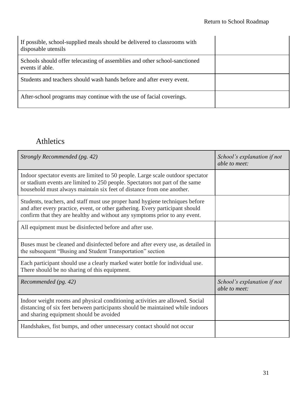| If possible, school-supplied meals should be delivered to classrooms with<br>disposable utensils |  |
|--------------------------------------------------------------------------------------------------|--|
| Schools should offer telecasting of assemblies and other school-sanctioned<br>events if able.    |  |
| Students and teachers should wash hands before and after every event.                            |  |
| After-school programs may continue with the use of facial coverings.                             |  |

## <span id="page-32-0"></span>Athletics

| Strongly Recommended (pg. 42)                                                                                                                                                                                                               | School's explanation if not<br>able to meet: |
|---------------------------------------------------------------------------------------------------------------------------------------------------------------------------------------------------------------------------------------------|----------------------------------------------|
| Indoor spectator events are limited to 50 people. Large scale outdoor spectator<br>or stadium events are limited to 250 people. Spectators not part of the same<br>household must always maintain six feet of distance from one another.    |                                              |
| Students, teachers, and staff must use proper hand hygiene techniques before<br>and after every practice, event, or other gathering. Every participant should<br>confirm that they are healthy and without any symptoms prior to any event. |                                              |
| All equipment must be disinfected before and after use.                                                                                                                                                                                     |                                              |
| Buses must be cleaned and disinfected before and after every use, as detailed in<br>the subsequent "Busing and Student Transportation" section                                                                                              |                                              |
| Each participant should use a clearly marked water bottle for individual use.<br>There should be no sharing of this equipment.                                                                                                              |                                              |
| Recommended (pg. 42)                                                                                                                                                                                                                        | School's explanation if not<br>able to meet: |
| Indoor weight rooms and physical conditioning activities are allowed. Social<br>distancing of six feet between participants should be maintained while indoors<br>and sharing equipment should be avoided                                   |                                              |
| Handshakes, fist bumps, and other unnecessary contact should not occur                                                                                                                                                                      |                                              |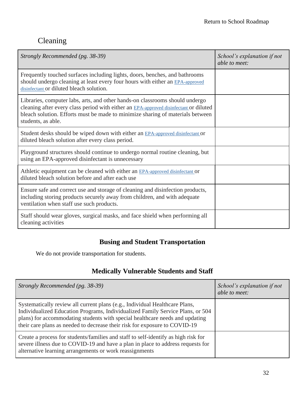## <span id="page-33-0"></span>Cleaning

| Strongly Recommended (pg. 38-39)                                                                                                                                                                                                                                              | School's explanation if not<br>able to meet: |
|-------------------------------------------------------------------------------------------------------------------------------------------------------------------------------------------------------------------------------------------------------------------------------|----------------------------------------------|
| Frequently touched surfaces including lights, doors, benches, and bathrooms<br>should undergo cleaning at least every four hours with either an EPA-approved<br>disinfectant or diluted bleach solution.                                                                      |                                              |
| Libraries, computer labs, arts, and other hands-on classrooms should undergo<br>cleaning after every class period with either an EPA-approved disinfectant or diluted<br>bleach solution. Efforts must be made to minimize sharing of materials between<br>students, as able. |                                              |
| Student desks should be wiped down with either an EPA-approved disinfectant or<br>diluted bleach solution after every class period.                                                                                                                                           |                                              |
| Playground structures should continue to undergo normal routine cleaning, but<br>using an EPA-approved disinfectant is unnecessary                                                                                                                                            |                                              |
| Athletic equipment can be cleaned with either an EPA-approved disinfectant or<br>diluted bleach solution before and after each use                                                                                                                                            |                                              |
| Ensure safe and correct use and storage of cleaning and disinfection products,<br>including storing products securely away from children, and with adequate<br>ventilation when staff use such products.                                                                      |                                              |
| Staff should wear gloves, surgical masks, and face shield when performing all<br>cleaning activities                                                                                                                                                                          |                                              |

#### **Busing and Student Transportation**

<span id="page-33-2"></span><span id="page-33-1"></span>We do not provide transportation for students.

#### **Medically Vulnerable Students and Staff**

| Strongly Recommended (pg. 38-39)                                                                                                                                                                                                                                                                                            | School's explanation if not<br>able to meet: |
|-----------------------------------------------------------------------------------------------------------------------------------------------------------------------------------------------------------------------------------------------------------------------------------------------------------------------------|----------------------------------------------|
| Systematically review all current plans (e.g., Individual Healthcare Plans,<br>Individualized Education Programs, Individualized Family Service Plans, or 504<br>plans) for accommodating students with special healthcare needs and updating<br>their care plans as needed to decrease their risk for exposure to COVID-19 |                                              |
| Create a process for students/families and staff to self-identify as high risk for<br>severe illness due to COVID-19 and have a plan in place to address requests for<br>alternative learning arrangements or work reassignments                                                                                            |                                              |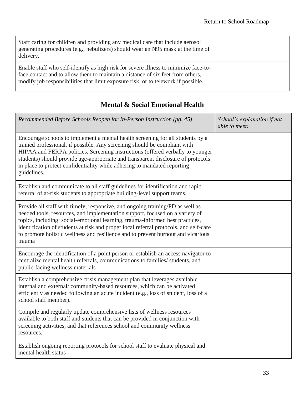| Staff caring for children and providing any medical care that include aerosol<br>generating procedures (e.g., nebulizers) should wear an N95 mask at the time of<br>delivery.                                                                              |  |
|------------------------------------------------------------------------------------------------------------------------------------------------------------------------------------------------------------------------------------------------------------|--|
| Enable staff who self-identify as high risk for severe illness to minimize face-to-<br>face contact and to allow them to maintain a distance of six feet from others,<br>modify job responsibilities that limit exposure risk, or to telework if possible. |  |

#### **Mental & Social Emotional Health**

<span id="page-34-0"></span>

| Recommended Before Schools Reopen for In-Person Instruction (pg. 45)                                                                                                                                                                                                                                                                                                                                                                  | School's explanation if not<br>able to meet: |
|---------------------------------------------------------------------------------------------------------------------------------------------------------------------------------------------------------------------------------------------------------------------------------------------------------------------------------------------------------------------------------------------------------------------------------------|----------------------------------------------|
| Encourage schools to implement a mental health screening for all students by a<br>trained professional, if possible. Any screening should be compliant with<br>HIPAA and FERPA policies. Screening instructions (offered verbally to younger<br>students) should provide age-appropriate and transparent disclosure of protocols<br>in place to protect confidentiality while adhering to mandated reporting<br>guidelines.           |                                              |
| Establish and communicate to all staff guidelines for identification and rapid<br>referral of at-risk students to appropriate building-level support teams.                                                                                                                                                                                                                                                                           |                                              |
| Provide all staff with timely, responsive, and ongoing training/PD as well as<br>needed tools, resources, and implementation support, focused on a variety of<br>topics, including: social-emotional learning, trauma-informed best practices,<br>identification of students at risk and proper local referral protocols, and self-care<br>to promote holistic wellness and resilience and to prevent burnout and vicarious<br>trauma |                                              |
| Encourage the identification of a point person or establish an access navigator to<br>centralize mental health referrals, communications to families/ students, and<br>public-facing wellness materials                                                                                                                                                                                                                               |                                              |
| Establish a comprehensive crisis management plan that leverages available<br>internal and external/community-based resources, which can be activated<br>efficiently as needed following an acute incident (e.g., loss of student, loss of a<br>school staff member).                                                                                                                                                                  |                                              |
| Compile and regularly update comprehensive lists of wellness resources<br>available to both staff and students that can be provided in conjunction with<br>screening activities, and that references school and community wellness<br>resources.                                                                                                                                                                                      |                                              |
| Establish ongoing reporting protocols for school staff to evaluate physical and<br>mental health status                                                                                                                                                                                                                                                                                                                               |                                              |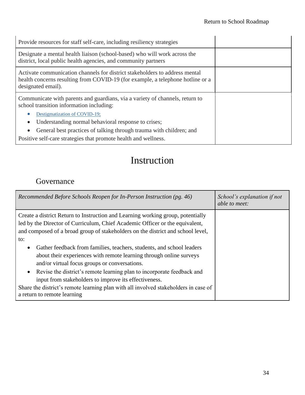| Provide resources for staff self-care, including resiliency strategies                                                                                                              |  |
|-------------------------------------------------------------------------------------------------------------------------------------------------------------------------------------|--|
| Designate a mental health liaison (school-based) who will work across the<br>district, local public health agencies, and community partners                                         |  |
| Activate communication channels for district stakeholders to address mental<br>health concerns resulting from COVID-19 (for example, a telephone hotline or a<br>designated email). |  |
| Communicate with parents and guardians, via a variety of channels, return to<br>school transition information including:                                                            |  |
| Destigmatization of COVID-19;                                                                                                                                                       |  |
| Understanding normal behavioral response to crises;                                                                                                                                 |  |
| General best practices of talking through trauma with children; and<br>$\bullet$                                                                                                    |  |
| Positive self-care strategies that promote health and wellness.                                                                                                                     |  |

# Instruction

## <span id="page-35-1"></span><span id="page-35-0"></span>Governance

| Recommended Before Schools Reopen for In-Person Instruction (pg. 46)                                                                                                                                                                                                                                                                                                                                                                                                    | School's explanation if not<br><i>able to meet:</i> |
|-------------------------------------------------------------------------------------------------------------------------------------------------------------------------------------------------------------------------------------------------------------------------------------------------------------------------------------------------------------------------------------------------------------------------------------------------------------------------|-----------------------------------------------------|
| Create a district Return to Instruction and Learning working group, potentially<br>led by the Director of Curriculum, Chief Academic Officer or the equivalent,<br>and composed of a broad group of stakeholders on the district and school level,<br>to:<br>Gather feedback from families, teachers, students, and school leaders<br>$\bullet$<br>about their experiences with remote learning through online surveys<br>and/or virtual focus groups or conversations. |                                                     |
| • Revise the district's remote learning plan to incorporate feedback and<br>input from stakeholders to improve its effectiveness.<br>Share the district's remote learning plan with all involved stakeholders in case of<br>a return to remote learning                                                                                                                                                                                                                 |                                                     |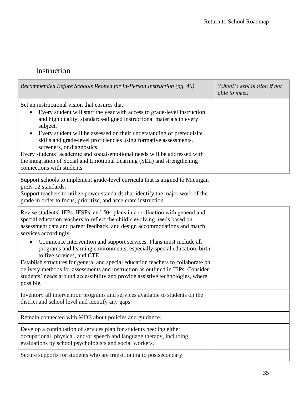## <span id="page-36-0"></span>Instruction

| Recommended Before Schools Reopen for In-Person Instruction (pg. 46)                                                                                                                                                                                                                                                                                                                                                                                                                                                                                                                                                                                                                                                             | School's explanation if not<br>able to meet: |
|----------------------------------------------------------------------------------------------------------------------------------------------------------------------------------------------------------------------------------------------------------------------------------------------------------------------------------------------------------------------------------------------------------------------------------------------------------------------------------------------------------------------------------------------------------------------------------------------------------------------------------------------------------------------------------------------------------------------------------|----------------------------------------------|
| Set an instructional vision that ensures that:<br>Every student will start the year with access to grade-level instruction<br>$\bullet$<br>and high quality, standards-aligned instructional materials in every<br>subject.<br>Every student will be assessed on their understanding of prerequisite<br>$\bullet$<br>skills and grade-level proficiencies using formative assessments,<br>screeners, or diagnostics.<br>Every students' academic and social-emotional needs will be addressed with<br>the integration of Social and Emotional Learning (SEL) and strengthening<br>connections with students.                                                                                                                     |                                              |
| Support schools to implement grade-level curricula that is aligned to Michigan<br>preK-12 standards.<br>Support teachers to utilize power standards that identify the major work of the<br>grade in order to focus, prioritize, and accelerate instruction.                                                                                                                                                                                                                                                                                                                                                                                                                                                                      |                                              |
| Revise students' IEPs, IFSPs, and 504 plans in coordination with general and<br>special education teachers to reflect the child's evolving needs based on<br>assessment data and parent feedback, and design accommodations and match<br>services accordingly.<br>Commence intervention and support services. Plans must include all<br>$\bullet$<br>programs and learning environments, especially special education, birth<br>to five services, and CTE.<br>Establish structures for general and special education teachers to collaborate on<br>delivery methods for assessments and instruction as outlined in IEPs. Consider<br>students' needs around accessibility and provide assistive technologies, where<br>possible. |                                              |
| Inventory all intervention programs and services available to students on the<br>district and school level and identify any gaps                                                                                                                                                                                                                                                                                                                                                                                                                                                                                                                                                                                                 |                                              |
| Remain connected with MDE about policies and guidance.                                                                                                                                                                                                                                                                                                                                                                                                                                                                                                                                                                                                                                                                           |                                              |
| Develop a continuation of services plan for students needing either<br>occupational, physical, and/or speech and language therapy, including<br>evaluations by school psychologists and social workers.                                                                                                                                                                                                                                                                                                                                                                                                                                                                                                                          |                                              |
| Secure supports for students who are transitioning to postsecondary                                                                                                                                                                                                                                                                                                                                                                                                                                                                                                                                                                                                                                                              |                                              |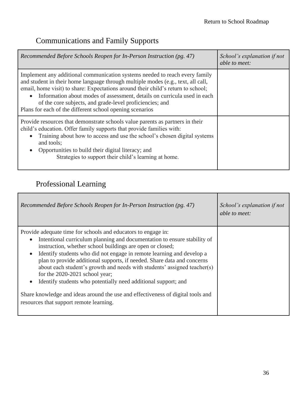## <span id="page-37-0"></span>Communications and Family Supports

| Recommended Before Schools Reopen for In-Person Instruction (pg. 47)                                                                                                                                                                                                                                                                                                                                                                                                 | School's explanation if not<br>able to meet: |
|----------------------------------------------------------------------------------------------------------------------------------------------------------------------------------------------------------------------------------------------------------------------------------------------------------------------------------------------------------------------------------------------------------------------------------------------------------------------|----------------------------------------------|
| Implement any additional communication systems needed to reach every family<br>and student in their home language through multiple modes (e.g., text, all call,<br>email, home visit) to share: Expectations around their child's return to school;<br>Information about modes of assessment, details on curricula used in each<br>$\bullet$<br>of the core subjects, and grade-level proficiencies; and<br>Plans for each of the different school opening scenarios |                                              |
| Provide resources that demonstrate schools value parents as partners in their<br>child's education. Offer family supports that provide families with:<br>Training about how to access and use the school's chosen digital systems<br>$\bullet$<br>and tools;<br>Opportunities to build their digital literacy; and<br>Strategies to support their child's learning at home.                                                                                          |                                              |

## <span id="page-37-1"></span>Professional Learning

| Recommended Before Schools Reopen for In-Person Instruction (pg. 47)                                                                                                                                                                                                                                                                                                                                                                                                                                                                                                                                                                                                                                              | School's explanation if not<br><i>able to meet:</i> |
|-------------------------------------------------------------------------------------------------------------------------------------------------------------------------------------------------------------------------------------------------------------------------------------------------------------------------------------------------------------------------------------------------------------------------------------------------------------------------------------------------------------------------------------------------------------------------------------------------------------------------------------------------------------------------------------------------------------------|-----------------------------------------------------|
| Provide adequate time for schools and educators to engage in:<br>Intentional curriculum planning and documentation to ensure stability of<br>$\bullet$<br>instruction, whether school buildings are open or closed;<br>Identify students who did not engage in remote learning and develop a<br>$\bullet$<br>plan to provide additional supports, if needed. Share data and concerns<br>about each student's growth and needs with students' assigned teacher(s)<br>for the $2020-2021$ school year;<br>Identify students who potentially need additional support; and<br>$\bullet$<br>Share knowledge and ideas around the use and effectiveness of digital tools and<br>resources that support remote learning. |                                                     |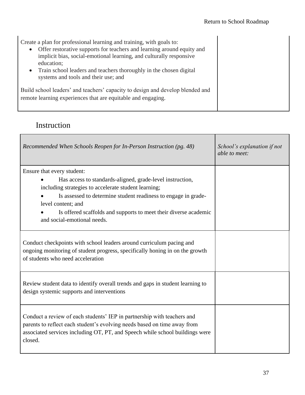| Create a plan for professional learning and training, with goals to:<br>Offer restorative supports for teachers and learning around equity and<br>$\bullet$<br>implicit bias, social-emotional learning, and culturally responsive<br>education;<br>Train school leaders and teachers thoroughly in the chosen digital<br>$\bullet$<br>systems and tools and their use; and |  |
|-----------------------------------------------------------------------------------------------------------------------------------------------------------------------------------------------------------------------------------------------------------------------------------------------------------------------------------------------------------------------------|--|
| Build school leaders' and teachers' capacity to design and develop blended and<br>remote learning experiences that are equitable and engaging.                                                                                                                                                                                                                              |  |

## <span id="page-38-0"></span>Instruction

| Recommended When Schools Reopen for In-Person Instruction (pg. 48)                                                                                                                                                                                                                                                                         | School's explanation if not<br>able to meet: |
|--------------------------------------------------------------------------------------------------------------------------------------------------------------------------------------------------------------------------------------------------------------------------------------------------------------------------------------------|----------------------------------------------|
| Ensure that every student:<br>Has access to standards-aligned, grade-level instruction,<br>including strategies to accelerate student learning;<br>Is assessed to determine student readiness to engage in grade-<br>level content; and<br>Is offered scaffolds and supports to meet their diverse academic<br>and social-emotional needs. |                                              |
| Conduct checkpoints with school leaders around curriculum pacing and<br>ongoing monitoring of student progress, specifically honing in on the growth<br>of students who need acceleration                                                                                                                                                  |                                              |
| Review student data to identify overall trends and gaps in student learning to<br>design systemic supports and interventions                                                                                                                                                                                                               |                                              |
| Conduct a review of each students' IEP in partnership with teachers and<br>parents to reflect each student's evolving needs based on time away from<br>associated services including OT, PT, and Speech while school buildings were<br>closed.                                                                                             |                                              |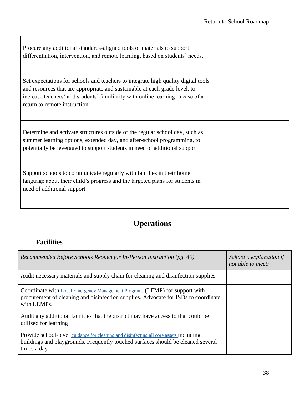| Procure any additional standards-aligned tools or materials to support<br>differentiation, intervention, and remote learning, based on students' needs.                                                                                                                           |  |
|-----------------------------------------------------------------------------------------------------------------------------------------------------------------------------------------------------------------------------------------------------------------------------------|--|
| Set expectations for schools and teachers to integrate high quality digital tools<br>and resources that are appropriate and sustainable at each grade level, to<br>increase teachers' and students' familiarity with online learning in case of a<br>return to remote instruction |  |
| Determine and activate structures outside of the regular school day, such as<br>summer learning options, extended day, and after-school programming, to<br>potentially be leveraged to support students in need of additional support                                             |  |
| Support schools to communicate regularly with families in their home<br>language about their child's progress and the targeted plans for students in<br>need of additional support                                                                                                |  |

## **Operations**

## <span id="page-39-1"></span><span id="page-39-0"></span>**Facilities**

| Recommended Before Schools Reopen for In-Person Instruction (pg. 49)                                                                                                                                   | School's explanation if<br>not able to meet: |
|--------------------------------------------------------------------------------------------------------------------------------------------------------------------------------------------------------|----------------------------------------------|
| Audit necessary materials and supply chain for cleaning and disinfection supplies                                                                                                                      |                                              |
| Coordinate with Local Emergency Management Programs (LEMP) for support with<br>procurement of cleaning and disinfection supplies. Advocate for ISDs to coordinate<br>with LEMPs.                       |                                              |
| Audit any additional facilities that the district may have access to that could be<br>utilized for learning                                                                                            |                                              |
| <b>Provide school-level</b> guidance for cleaning and disinfecting all core assets <b>including</b><br>buildings and playgrounds. Frequently touched surfaces should be cleaned several<br>times a day |                                              |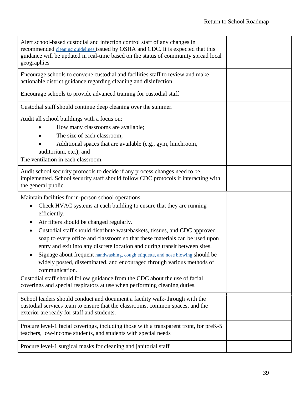| Alert school-based custodial and infection control staff of any changes in<br>recommended cleaning guidelines issued by OSHA and CDC. It is expected that this<br>guidance will be updated in real-time based on the status of community spread local<br>geographies<br>Encourage schools to convene custodial and facilities staff to review and make                                                                                                                                                                                                                                                                                                                                                                                                                        |  |
|-------------------------------------------------------------------------------------------------------------------------------------------------------------------------------------------------------------------------------------------------------------------------------------------------------------------------------------------------------------------------------------------------------------------------------------------------------------------------------------------------------------------------------------------------------------------------------------------------------------------------------------------------------------------------------------------------------------------------------------------------------------------------------|--|
| actionable district guidance regarding cleaning and disinfection                                                                                                                                                                                                                                                                                                                                                                                                                                                                                                                                                                                                                                                                                                              |  |
| Encourage schools to provide advanced training for custodial staff                                                                                                                                                                                                                                                                                                                                                                                                                                                                                                                                                                                                                                                                                                            |  |
| Custodial staff should continue deep cleaning over the summer.                                                                                                                                                                                                                                                                                                                                                                                                                                                                                                                                                                                                                                                                                                                |  |
| Audit all school buildings with a focus on:<br>How many classrooms are available;<br>The size of each classroom;<br>Additional spaces that are available (e.g., gym, lunchroom,<br>auditorium, etc.); and<br>The ventilation in each classroom.                                                                                                                                                                                                                                                                                                                                                                                                                                                                                                                               |  |
| Audit school security protocols to decide if any process changes need to be<br>implemented. School security staff should follow CDC protocols if interacting with<br>the general public.                                                                                                                                                                                                                                                                                                                                                                                                                                                                                                                                                                                      |  |
| Maintain facilities for in-person school operations.<br>Check HVAC systems at each building to ensure that they are running<br>efficiently.<br>Air filters should be changed regularly.<br>Custodial staff should distribute wastebaskets, tissues, and CDC approved<br>soap to every office and classroom so that these materials can be used upon<br>entry and exit into any discrete location and during transit between sites.<br>Signage about frequent handwashing, cough etiquette, and nose blowing should be<br>widely posted, disseminated, and encouraged through various methods of<br>communication.<br>Custodial staff should follow guidance from the CDC about the use of facial<br>coverings and special respirators at use when performing cleaning duties. |  |
| School leaders should conduct and document a facility walk-through with the<br>custodial services team to ensure that the classrooms, common spaces, and the<br>exterior are ready for staff and students.                                                                                                                                                                                                                                                                                                                                                                                                                                                                                                                                                                    |  |
| Procure level-1 facial coverings, including those with a transparent front, for preK-5<br>teachers, low-income students, and students with special needs                                                                                                                                                                                                                                                                                                                                                                                                                                                                                                                                                                                                                      |  |
| Procure level-1 surgical masks for cleaning and janitorial staff                                                                                                                                                                                                                                                                                                                                                                                                                                                                                                                                                                                                                                                                                                              |  |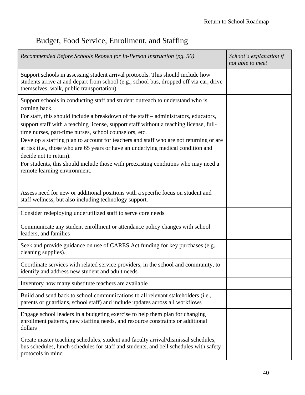# <span id="page-41-0"></span>Budget, Food Service, Enrollment, and Staffing

| Recommended Before Schools Reopen for In-Person Instruction (pg. 50)                                                                                                                                                                                                                                                                                                                                                                                                                                                                                                                                                                                                     | School's explanation if<br>not able to meet |
|--------------------------------------------------------------------------------------------------------------------------------------------------------------------------------------------------------------------------------------------------------------------------------------------------------------------------------------------------------------------------------------------------------------------------------------------------------------------------------------------------------------------------------------------------------------------------------------------------------------------------------------------------------------------------|---------------------------------------------|
| Support schools in assessing student arrival protocols. This should include how<br>students arrive at and depart from school (e.g., school bus, dropped off via car, drive<br>themselves, walk, public transportation).                                                                                                                                                                                                                                                                                                                                                                                                                                                  |                                             |
| Support schools in conducting staff and student outreach to understand who is<br>coming back.<br>For staff, this should include a breakdown of the staff – administrators, educators,<br>support staff with a teaching license, support staff without a teaching license, full-<br>time nurses, part-time nurses, school counselors, etc.<br>Develop a staffing plan to account for teachers and staff who are not returning or are<br>at risk (i.e., those who are 65 years or have an underlying medical condition and<br>decide not to return).<br>For students, this should include those with preexisting conditions who may need a<br>remote learning environment. |                                             |
| Assess need for new or additional positions with a specific focus on student and<br>staff wellness, but also including technology support.                                                                                                                                                                                                                                                                                                                                                                                                                                                                                                                               |                                             |
| Consider redeploying underutilized staff to serve core needs                                                                                                                                                                                                                                                                                                                                                                                                                                                                                                                                                                                                             |                                             |
| Communicate any student enrollment or attendance policy changes with school<br>leaders, and families                                                                                                                                                                                                                                                                                                                                                                                                                                                                                                                                                                     |                                             |
| Seek and provide guidance on use of CARES Act funding for key purchases (e.g.,<br>cleaning supplies).                                                                                                                                                                                                                                                                                                                                                                                                                                                                                                                                                                    |                                             |
| Coordinate services with related service providers, in the school and community, to<br>identify and address new student and adult needs                                                                                                                                                                                                                                                                                                                                                                                                                                                                                                                                  |                                             |
| Inventory how many substitute teachers are available                                                                                                                                                                                                                                                                                                                                                                                                                                                                                                                                                                                                                     |                                             |
| Build and send back to school communications to all relevant stakeholders (i.e.,<br>parents or guardians, school staff) and include updates across all workflows                                                                                                                                                                                                                                                                                                                                                                                                                                                                                                         |                                             |
| Engage school leaders in a budgeting exercise to help them plan for changing<br>enrollment patterns, new staffing needs, and resource constraints or additional<br>dollars                                                                                                                                                                                                                                                                                                                                                                                                                                                                                               |                                             |
| Create master teaching schedules, student and faculty arrival/dismissal schedules,<br>bus schedules, lunch schedules for staff and students, and bell schedules with safety<br>protocols in mind                                                                                                                                                                                                                                                                                                                                                                                                                                                                         |                                             |